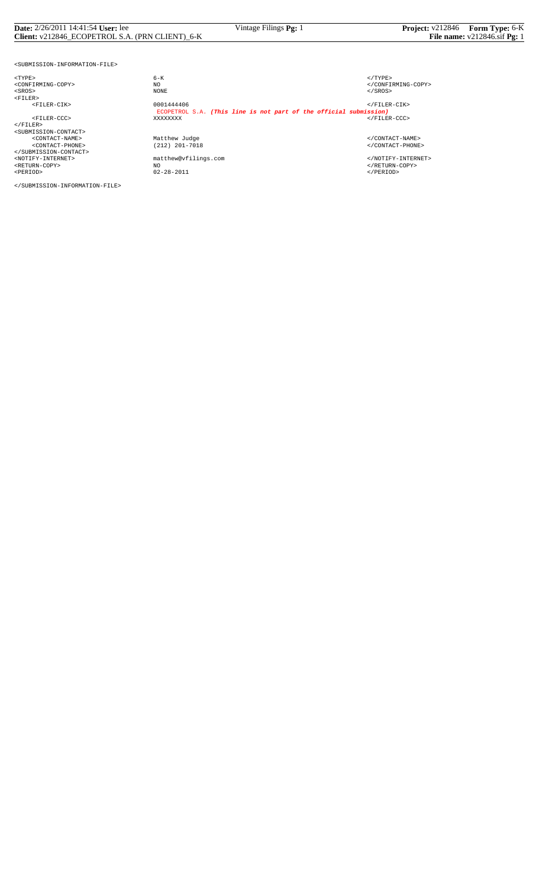## **Date:** 2/26/2011 14:41:54 **User:** lee Vintage Filings **Pg:** 1 **Project:** v212846 **Form Type:** 6-K **Client:** v212846\_ECOPETROL S.A. (PRN CLIENT)\_6-K **File name:** v212846.sif **Pg:** 1

<SUBMISSION-INFORMATION-FILE>

| $<$ TYPE>                                 | $6 - K$                                                           | $<$ /TYPE>            |
|-------------------------------------------|-------------------------------------------------------------------|-----------------------|
| <confirming-copy></confirming-copy>       | NO                                                                |                       |
| $<$ SROS $>$                              | NONE                                                              | $SROS>$               |
| $<$ FILER>                                |                                                                   |                       |
| $<$ FTLER-CTK>                            | 0001444406                                                        | $\langle$ /FILER-CIK> |
|                                           | ECOPETROL S.A. (This line is not part of the official submission) |                       |
| <filer-ccc></filer-ccc>                   | XXXXXXXX                                                          | $\langle$ /FILER-CCC> |
| $<$ /FILER>                               |                                                                   |                       |
| <submission-contact></submission-contact> |                                                                   |                       |
| <contact-name></contact-name>             | Matthew Judge                                                     |                       |
| <contact-phone></contact-phone>           | (212) 201-7018                                                    |                       |
|                                           |                                                                   |                       |
| <notify-internet></notify-internet>       | matthew@vfilings.com                                              |                       |
| <return-copy></return-copy>               | NO                                                                |                       |
| <period></period>                         | $02 - 28 - 2011$                                                  | $<$ /PERIOD>          |

</SUBMISSION-INFORMATION-FILE>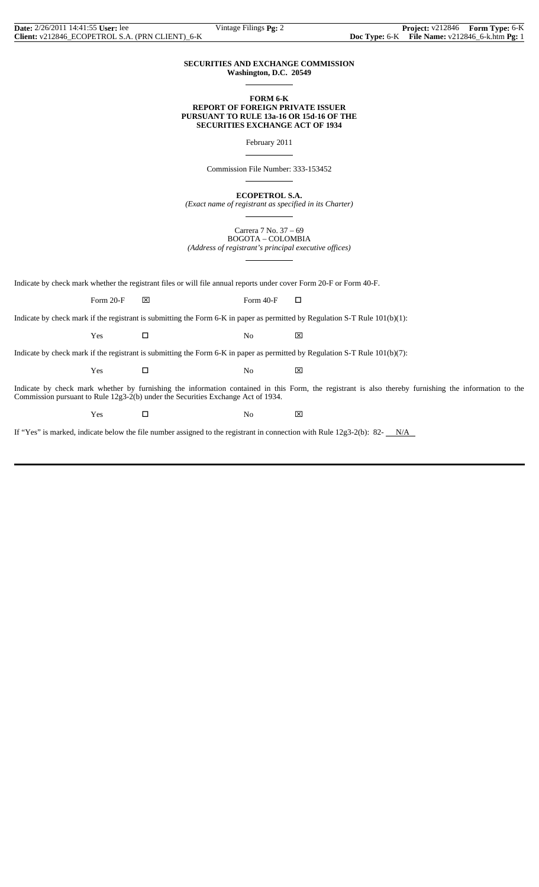### **SECURITIES AND EXCHANGE COMMISSION Washington, D.C. 20549**

 $\overline{a}$ 

 $\overline{a}$ 

 $\overline{a}$ 

 $\overline{a}$ 

### **FORM 6-K REPORT OF FOREIGN PRIVATE ISSUER PURSUANT TO RULE 13a-16 OR 15d-16 OF THE SECURITIES EXCHANGE ACT OF 1934**

February 2011

Commission File Number: 333-153452

**ECOPETROL S.A.**

*(Exact name of registrant as specified in its Charter)*  $\overline{a}$ 

> Carrera 7 No. 37 – 69 BOGOTA – COLOMBIA

*(Address of registrant's principal executive offices)*

Indicate by check mark whether the registrant files or will file annual reports under cover Form 20-F or Form 40-F.

Form 20-F  $\boxtimes$  Form 40-F  $\Box$ 

Indicate by check mark if the registrant is submitting the Form 6-K in paper as permitted by Regulation S-T Rule 101(b)(1):

 $Yes$   $\Box$  No  $\boxtimes$ 

Indicate by check mark if the registrant is submitting the Form 6-K in paper as permitted by Regulation S-T Rule 101(b)(7):

 $Yes$   $\Box$  No  $\boxtimes$ 

Indicate by check mark whether by furnishing the information contained in this Form, the registrant is also thereby furnishing the information to the Commission pursuant to Rule 12g3-2(b) under the Securities Exchange Act of 1934.

Yes □ No ⊠

If "Yes" is marked, indicate below the file number assigned to the registrant in connection with Rule  $12g3-2(b)$ : 82- $N/A$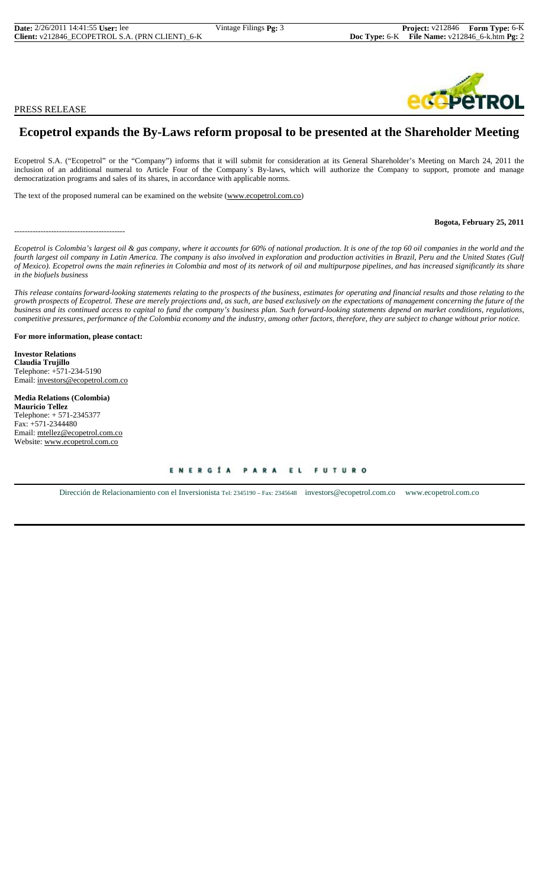PRESS RELEASE

## **Ecopetrol expands the By-Laws reform proposal to be presented at the Shareholder Meeting**

Ecopetrol S.A. ("Ecopetrol" or the "Company") informs that it will submit for consideration at its General Shareholder's Meeting on March 24, 2011 the inclusion of an additional numeral to Article Four of the Company´s By-laws, which will authorize the Company to support, promote and manage democratization programs and sales of its shares, in accordance with applicable norms.

The text of the proposed numeral can be examined on the website (www.ecopetrol.com.co)

------------------------------------------

**Bogota, February 25, 2011**

*Ecopetrol is Colombia's largest oil & gas company, where it accounts for 60% of national production. It is one of the top 60 oil companies in the world and the fourth largest oil company in Latin America. The company is also involved in exploration and production activities in Brazil, Peru and the United States (Gulf of Mexico). Ecopetrol owns the main refineries in Colombia and most of its network of oil and multipurpose pipelines, and has increased significantly its share in the biofuels business*

*This release contains forward-looking statements relating to the prospects of the business, estimates for operating and financial results and those relating to the growth prospects of Ecopetrol. These are merely projections and, as such, are based exclusively on the expectations of management concerning the future of the business and its continued access to capital to fund the company's business plan. Such forward-looking statements depend on market conditions, regulations, competitive pressures, performance of the Colombia economy and the industry, among other factors, therefore, they are subject to change without prior notice.*

**For more information, please contact:**

**Investor Relations Claudia Trujillo** Telephone: +571-234-5190 Email: investors@ecopetrol.com.co

**Media Relations (Colombia) Mauricio Tellez** Telephone: + 571-2345377 Fax: +571-2344480 Email: mtellez@ecopetrol.com.co Website: www.ecopetrol.com.co

> ENERGÍA **FUTURO** PARA EL

Dirección de Relacionamiento con el Inversionista Tel: 2345190 – Fax: 2345648 investors@ecopetrol.com.co www.ecopetrol.com.co

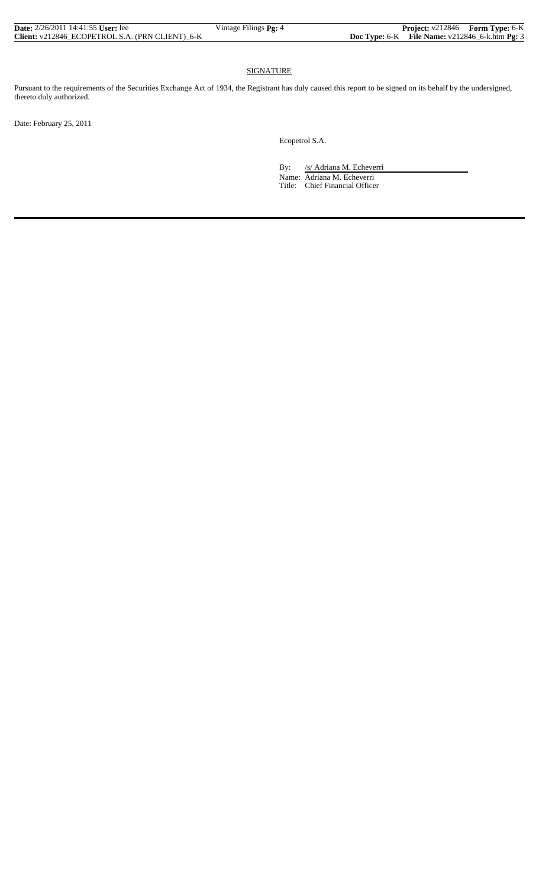| <b>Date:</b> $2/26/2011$ 14:41:55 User: lee     | Vintage Filings Pg: 4 | <b>Project:</b> v212846 Form Type: 6-K             |  |
|-------------------------------------------------|-----------------------|----------------------------------------------------|--|
| Client: v212846 ECOPETROL S.A. (PRN CLIENT) 6-K |                       | Doc Type: $6-K$ File Name: $v212846$ 6-k.htm Pg: 3 |  |

## SIGNATURE

Pursuant to the requirements of the Securities Exchange Act of 1934, the Registrant has duly caused this report to be signed on its behalf by the undersigned, thereto duly authorized.

Date: February 25, 2011

Ecopetrol S.A.

By: /s/ Adriana M. Echeverri

 Name: Adriana M. Echeverri Title: Chief Financial Officer